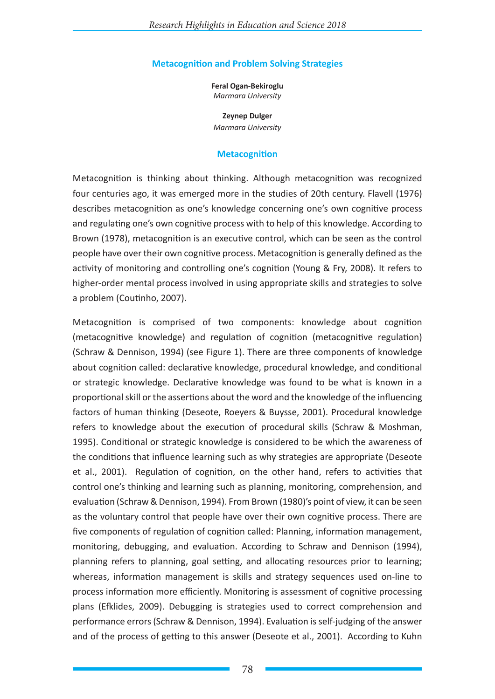## **Metacognition and Problem Solving Strategies**

**Feral Ogan-Bekiroglu** *Marmara University*

#### **Zeynep Dulger**

*Marmara University*

### **Metacognition**

Metacognition is thinking about thinking. Although metacognition was recognized four centuries ago, it was emerged more in the studies of 20th century. Flavell (1976) describes metacognition as one's knowledge concerning one's own cognitive process and regulating one's own cognitive process with to help of this knowledge. According to Brown (1978), metacognition is an executive control, which can be seen as the control people have over their own cognitive process. Metacognition is generally defined as the activity of monitoring and controlling one's cognition (Young & Fry, 2008). It refers to higher-order mental process involved in using appropriate skills and strategies to solve a problem (Coutinho, 2007).

Metacognition is comprised of two components: knowledge about cognition (metacognitive knowledge) and regulation of cognition (metacognitive regulation) (Schraw & Dennison, 1994) (see Figure 1). There are three components of knowledge about cognition called: declarative knowledge, procedural knowledge, and conditional or strategic knowledge. Declarative knowledge was found to be what is known in a proportional skill or the assertions about the word and the knowledge of the influencing factors of human thinking (Deseote, Roeyers & Buysse, 2001). Procedural knowledge refers to knowledge about the execution of procedural skills (Schraw & Moshman, 1995). Conditional or strategic knowledge is considered to be which the awareness of the conditions that influence learning such as why strategies are appropriate (Deseote et al., 2001). Regulation of cognition, on the other hand, refers to activities that control one's thinking and learning such as planning, monitoring, comprehension, and evaluation (Schraw & Dennison, 1994). From Brown (1980)'s point of view, it can be seen as the voluntary control that people have over their own cognitive process. There are five components of regulation of cognition called: Planning, information management, monitoring, debugging, and evaluation. According to Schraw and Dennison (1994), planning refers to planning, goal setting, and allocating resources prior to learning; whereas, information management is skills and strategy sequences used on-line to process information more efficiently. Monitoring is assessment of cognitive processing plans (Efklides, 2009). Debugging is strategies used to correct comprehension and performance errors (Schraw & Dennison, 1994). Evaluation is self-judging of the answer and of the process of getting to this answer (Deseote et al., 2001). According to Kuhn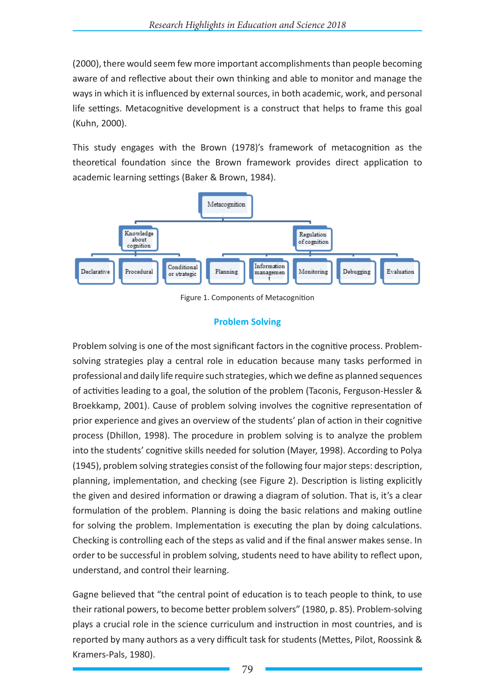(2000), there would seem few more important accomplishments than people becoming aware of and reflective about their own thinking and able to monitor and manage the ways in which it is influenced by external sources, in both academic, work, and personal life settings. Metacognitive development is a construct that helps to frame this goal (Kuhn, 2000).

This study engages with the Brown (1978)'s framework of metacognition as the theoretical foundation since the Brown framework provides direct application to academic learning settings (Baker & Brown, 1984).



Figure 1. Components of Metacognition

# **Problem Solving**

Problem solving is one of the most significant factors in the cognitive process. Problemsolving strategies play a central role in education because many tasks performed in professional and daily life require such strategies, which we define as planned sequences of activities leading to a goal, the solution of the problem (Taconis, Ferguson-Hessler & Broekkamp, 2001). Cause of problem solving involves the cognitive representation of prior experience and gives an overview of the students' plan of action in their cognitive process (Dhillon, 1998). The procedure in problem solving is to analyze the problem into the students' cognitive skills needed for solution (Mayer, 1998). According to Polya (1945), problem solving strategies consist of the following four major steps: description, planning, implementation, and checking (see Figure 2). Description is listing explicitly the given and desired information or drawing a diagram of solution. That is, it's a clear formulation of the problem. Planning is doing the basic relations and making outline for solving the problem. Implementation is executing the plan by doing calculations. Checking is controlling each of the steps as valid and if the final answer makes sense. In order to be successful in problem solving, students need to have ability to reflect upon, understand, and control their learning.

Gagne believed that "the central point of education is to teach people to think, to use their rational powers, to become better problem solvers" (1980, p. 85). Problem-solving plays a crucial role in the science curriculum and instruction in most countries, and is reported by many authors as a very difficult task for students (Mettes, Pilot, Roossink & Kramers-Pals, 1980).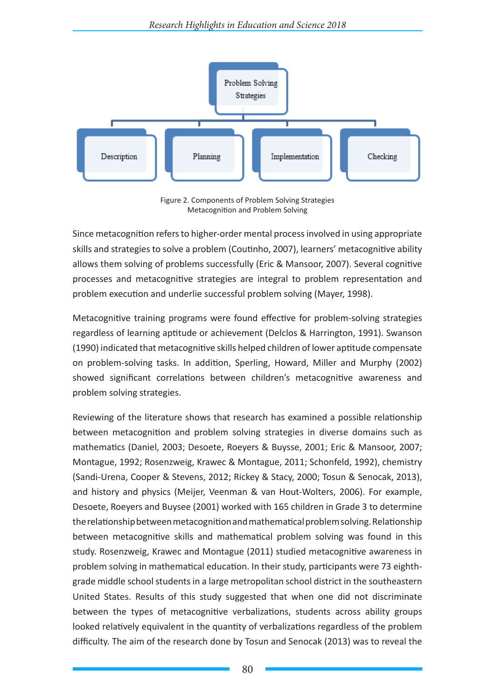

Figure 2. Components of Problem Solving Strategies Metacognition and Problem Solving

Since metacognition refers to higher-order mental process involved in using appropriate skills and strategies to solve a problem (Coutinho, 2007), learners' metacognitive ability allows them solving of problems successfully (Eric & Mansoor, 2007). Several cognitive processes and metacognitive strategies are integral to problem representation and problem execution and underlie successful problem solving (Mayer, 1998).

Metacognitive training programs were found effective for problem-solving strategies regardless of learning aptitude or achievement (Delclos & Harrington, 1991). Swanson (1990) indicated that metacognitive skills helped children of lower aptitude compensate on problem-solving tasks. In addition, Sperling, Howard, Miller and Murphy (2002) showed significant correlations between children's metacognitive awareness and problem solving strategies.

Reviewing of the literature shows that research has examined a possible relationship between metacognition and problem solving strategies in diverse domains such as mathematics (Daniel, 2003; Desoete, Roeyers & Buysse, 2001; Eric & Mansoor, 2007; Montague, 1992; Rosenzweig, Krawec & Montague, 2011; Schonfeld, 1992), chemistry (Sandi-Urena, Cooper & Stevens, 2012; Rickey & Stacy, 2000; Tosun & Senocak, 2013), and history and physics (Meijer, Veenman & van Hout-Wolters, 2006). For example, Desoete, Roeyers and Buysee (2001) worked with 165 children in Grade 3 to determine the relationship between metacognition and mathematical problem solving. Relationship between metacognitive skills and mathematical problem solving was found in this study. Rosenzweig, Krawec and Montague (2011) studied metacognitive awareness in problem solving in mathematical education. In their study, participants were 73 eighthgrade middle school students in a large metropolitan school district in the southeastern United States. Results of this study suggested that when one did not discriminate between the types of metacognitive verbalizations, students across ability groups looked relatively equivalent in the quantity of verbalizations regardless of the problem difficulty. The aim of the research done by Tosun and Senocak (2013) was to reveal the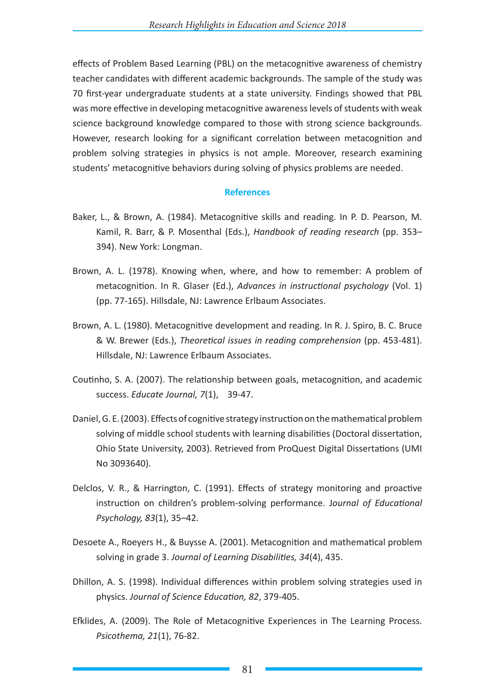effects of Problem Based Learning (PBL) on the metacognitive awareness of chemistry teacher candidates with different academic backgrounds. The sample of the study was 70 first-year undergraduate students at a state university. Findings showed that PBL was more effective in developing metacognitive awareness levels of students with weak science background knowledge compared to those with strong science backgrounds. However, research looking for a significant correlation between metacognition and problem solving strategies in physics is not ample. Moreover, research examining students' metacognitive behaviors during solving of physics problems are needed.

#### **References**

- Baker, L., & Brown, A. (1984). Metacognitive skills and reading. In P. D. Pearson, M. Kamil, R. Barr, & P. Mosenthal (Eds.), *Handbook of reading research* (pp. 353– 394). New York: Longman.
- Brown, A. L. (1978). Knowing when, where, and how to remember: A problem of metacognition. In R. Glaser (Ed.), *Advances in instructional psychology* (Vol. 1) (pp. 77-165). Hillsdale, NJ: Lawrence Erlbaum Associates.
- Brown, A. L. (1980). Metacognitive development and reading. In R. J. Spiro, B. C. Bruce & W. Brewer (Eds.), *Theoretical issues in reading comprehension* (pp. 453-481). Hillsdale, NJ: Lawrence Erlbaum Associates.
- Coutinho, S. A. (2007). The relationship between goals, metacognition, and academic success. *Educate Journal, 7*(1), 39-47.
- Daniel, G. E. (2003). Effects of cognitive strategy instruction on the mathematical problem solving of middle school students with learning disabilities (Doctoral dissertation, Ohio State University, 2003). Retrieved from ProQuest Digital Dissertations (UMI No 3093640).
- Delclos, V. R., & Harrington, C. (1991). Effects of strategy monitoring and proactive instruction on children's problem-solving performance. J*ournal of Educational Psychology, 83*(1), 35–42.
- Desoete A., Roeyers H., & Buysse A. (2001). Metacognition and mathematical problem solving in grade 3. *Journal of Learning Disabilities, 34*(4), 435.
- Dhillon, A. S. (1998). Individual differences within problem solving strategies used in physics. *Journal of Science Education, 82*, 379-405.
- Efklides, A. (2009). The Role of Metacognitive Experiences in The Learning Process. *Psicothema, 21*(1), 76-82.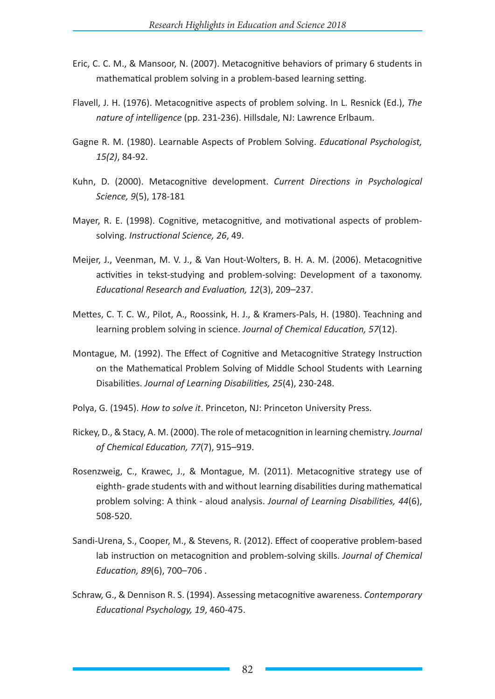- Eric, C. C. M., & Mansoor, N. (2007). Metacognitive behaviors of primary 6 students in mathematical problem solving in a problem-based learning setting.
- Flavell, J. H. (1976). Metacognitive aspects of problem solving. In L. Resnick (Ed.), *The nature of intelligence* (pp. 231-236). Hillsdale, NJ: Lawrence Erlbaum.
- Gagne R. M. (1980). Learnable Aspects of Problem Solving. *Educational Psychologist, 15(2)*, 84-92.
- Kuhn, D. (2000). Metacognitive development. *Current Directions in Psychological Science, 9*(5), 178-181
- Mayer, R. E. (1998). Cognitive, metacognitive, and motivational aspects of problemsolving. *Instructional Science, 26*, 49.
- Meijer, J., Veenman, M. V. J., & Van Hout-Wolters, B. H. A. M. (2006). Metacognitive activities in tekst-studying and problem-solving: Development of a taxonomy. *Educational Research and Evaluation, 12*(3), 209–237.
- Mettes, C. T. C. W., Pilot, A., Roossink, H. J., & Kramers-Pals, H. (1980). Teachning and learning problem solving in science. *Journal of Chemical Education, 57*(12).
- Montague, M. (1992). The Effect of Cognitive and Metacognitive Strategy Instruction on the Mathematical Problem Solving of Middle School Students with Learning Disabilities. *Journal of Learning Disabilities, 25*(4), 230-248.
- Polya, G. (1945). *How to solve it*. Princeton, NJ: Princeton University Press.
- Rickey, D., & Stacy, A. M. (2000). The role of metacognition in learning chemistry. *Journal of Chemical Education, 77*(7), 915–919.
- Rosenzweig, C., Krawec, J., & Montague, M. (2011). Metacognitive strategy use of eighth- grade students with and without learning disabilities during mathematical problem solving: A think - aloud analysis. *Journal of Learning Disabilities, 44*(6), 508-520.
- Sandi-Urena, S., Cooper, M., & Stevens, R. (2012). Effect of cooperative problem-based lab instruction on metacognition and problem-solving skills. *Journal of Chemical Education, 89*(6), 700–706 .
- Schraw, G., & Dennison R. S. (1994). Assessing metacognitive awareness. *Contemporary Educational Psychology, 19*, 460-475.